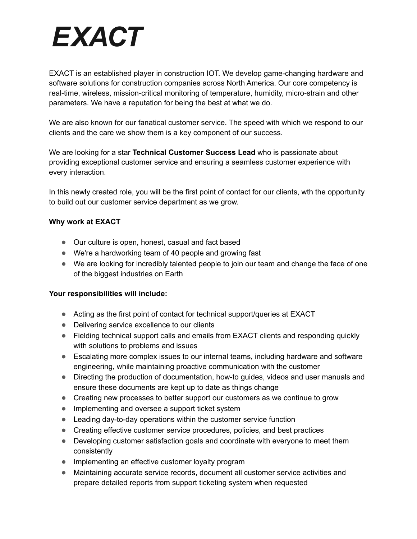# **EXACT**

EXACT is an established player in construction IOT. We develop game-changing hardware and software solutions for construction companies across North America. Our core competency is real-time, wireless, mission-critical monitoring of temperature, humidity, micro-strain and other parameters. We have a reputation for being the best at what we do.

We are also known for our fanatical customer service. The speed with which we respond to our clients and the care we show them is a key component of our success.

We are looking for a star **Technical Customer Success Lead** who is passionate about providing exceptional customer service and ensuring a seamless customer experience with every interaction.

In this newly created role, you will be the first point of contact for our clients, wth the opportunity to build out our customer service department as we grow.

### **Why work at EXACT**

- Our culture is open, honest, casual and fact based
- We're a hardworking team of 40 people and growing fast
- We are looking for incredibly talented people to join our team and change the face of one of the biggest industries on Earth

### **Your responsibilities will include:**

- Acting as the first point of contact for technical support/queries at EXACT
- Delivering service excellence to our clients
- Fielding technical support calls and emails from EXACT clients and responding quickly with solutions to problems and issues
- Escalating more complex issues to our internal teams, including hardware and software engineering, while maintaining proactive communication with the customer
- Directing the production of documentation, how-to guides, videos and user manuals and ensure these documents are kept up to date as things change
- Creating new processes to better support our customers as we continue to grow
- Implementing and oversee a support ticket system
- Leading day-to-day operations within the customer service function
- Creating effective customer service procedures, policies, and best practices
- Developing customer satisfaction goals and coordinate with everyone to meet them consistently
- Implementing an effective customer loyalty program
- Maintaining accurate service records, document all customer service activities and prepare detailed reports from support ticketing system when requested